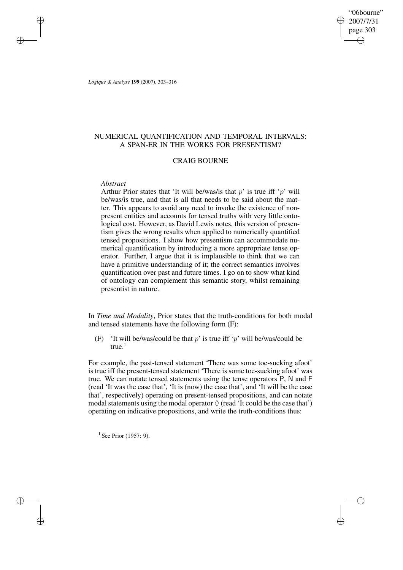"06bourne" 2007/7/31 page 303 ✐ ✐

✐

✐

*Logique & Analyse* **199** (2007), 303–316

✐

✐

✐

✐

# NUMERICAL QUANTIFICATION AND TEMPORAL INTERVALS: A SPAN-ER IN THE WORKS FOR PRESENTISM?

## CRAIG BOURNE

## *Abstract*

Arthur Prior states that 'It will be/was/is that  $p'$  is true iff 'p' will be/was/is true, and that is all that needs to be said about the matter. This appears to avoid any need to invoke the existence of nonpresent entities and accounts for tensed truths with very little ontological cost. However, as David Lewis notes, this version of presentism gives the wrong results when applied to numerically quantified tensed propositions. I show how presentism can accommodate numerical quantification by introducing a more appropriate tense operator. Further, I argue that it is implausible to think that we can have a primitive understanding of it; the correct semantics involves quantification over past and future times. I go on to show what kind of ontology can complement this semantic story, whilst remaining presentist in nature.

In *Time and Modality*, Prior states that the truth-conditions for both modal and tensed statements have the following form (F):

(F) 'It will be/was/could be that  $p'$  is true iff 'p' will be/was/could be  $true.<sup>1</sup>$ 

For example, the past-tensed statement 'There was some toe-sucking afoot' is true iff the present-tensed statement 'There is some toe-sucking afoot' was true. We can notate tensed statements using the tense operators P, N and F (read 'It was the case that', 'It is (now) the case that', and 'It will be the case that', respectively) operating on present-tensed propositions, and can notate modal statements using the modal operator  $\Diamond$  (read 'It could be the case that') operating on indicative propositions, and write the truth-conditions thus:

 $1$  See Prior (1957: 9).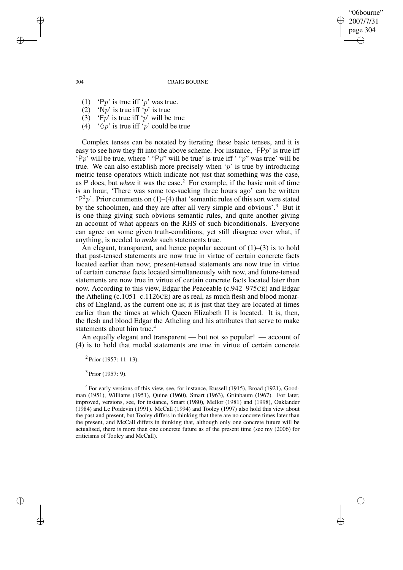"06bourne" 2007/7/31 page 304 ✐ ✐

✐

✐

#### 304 CRAIG BOURNE

- (1) 'Pp' is true iff 'p' was true.
- $(2)$  'Np' is true iff 'p' is true
- (3)  $\mathbf{F}_p$  is true iff  $\mathbf{F}_p$  will be true
- (4)  $\sqrt[6]{p}$  is true iff  $\sqrt[6]{p}$  could be true

Complex tenses can be notated by iterating these basic tenses, and it is easy to see how they fit into the above scheme. For instance, ' $FPP$ ' is true iff 'Pp' will be true, where ' "Pp" will be true' is true iff ' "p" was true' will be true. We can also establish more precisely when ' $p$ ' is true by introducing metric tense operators which indicate not just that something was the case, as P does, but *when* it was the case.<sup>2</sup> For example, if the basic unit of time is an hour, 'There was some toe-sucking three hours ago' can be written  $(P<sup>3</sup>p)$ . Prior comments on (1)–(4) that 'semantic rules of this sort were stated by the schoolmen, and they are after all very simple and obvious'.<sup>3</sup> But it is one thing giving such obvious semantic rules, and quite another giving an account of what appears on the RHS of such biconditionals. Everyone can agree on some given truth-conditions, yet still disagree over what, if anything, is needed to *make* such statements true.

An elegant, transparent, and hence popular account of  $(1)$ – $(3)$  is to hold that past-tensed statements are now true in virtue of certain concrete facts located earlier than now; present-tensed statements are now true in virtue of certain concrete facts located simultaneously with now, and future-tensed statements are now true in virtue of certain concrete facts located later than now. According to this view, Edgar the Peaceable (c.942–975CE) and Edgar the Atheling (c.1051–c.1126CE) are as real, as much flesh and blood monarchs of England, as the current one is; it is just that they are located at times earlier than the times at which Queen Elizabeth II is located. It is, then, the flesh and blood Edgar the Atheling and his attributes that serve to make statements about him true.<sup>4</sup>

An equally elegant and transparent — but not so popular! — account of (4) is to hold that modal statements are true in virtue of certain concrete

 $2$  Prior (1957: 11–13).

<sup>3</sup> Prior (1957: 9).

<sup>4</sup> For early versions of this view, see, for instance, Russell (1915), Broad (1921), Goodman (1951), Williams (1951), Quine (1960), Smart (1963), Grünbaum (1967). For later, improved, versions, see, for instance, Smart (1980), Mellor (1981) and (1998), Oaklander (1984) and Le Poidevin (1991). McCall (1994) and Tooley (1997) also hold this view about the past and present, but Tooley differs in thinking that there are no concrete times later than the present, and McCall differs in thinking that, although only one concrete future will be actualised, there is more than one concrete future as of the present time (see my (2006) for criticisms of Tooley and McCall).

✐

✐

✐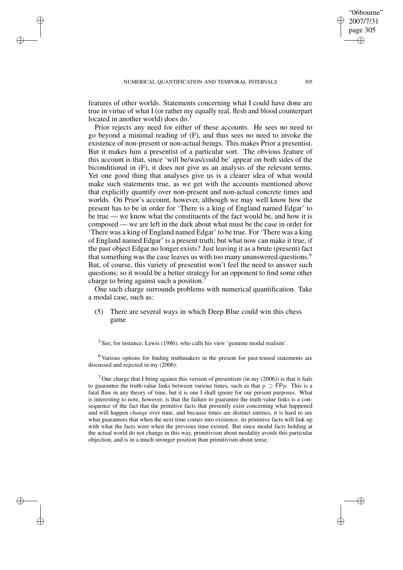✐

✐

✐

features of other worlds. Statements concerning what I could have done are true in virtue of what I (or rather my equally real, flesh and blood counterpart located in another world) does do. $5$ 

Prior rejects any need for either of these accounts. He sees no need to go beyond a minimal reading of (F), and thus sees no need to invoke the existence of non-present or non-actual beings. This makes Prior a presentist. But it makes him a presentist of a particular sort. The obvious feature of this account is that, since 'will be/was/could be' appear on both sides of the biconditional in (F), it does not give us an analysis of the relevant terms. Yet one good thing that analyses give us is a clearer idea of what would make such statements true, as we get with the accounts mentioned above that explicitly quantify over non-present and non-actual concrete times and worlds. On Prior's account, however, although we may well know how the present has to be in order for 'There is a king of England named Edgar' to be true — we know what the constituents of the fact would be, and how it is composed — we are left in the dark about what must be the case in order for 'There was a king of England named Edgar' to be true. For 'There was a king of England named Edgar' is a present truth; but what now can make it true, if the past object Edgar no longer exists? Just leaving it as a brute (present) fact that something was the case leaves us with too many unanswered questions.<sup>6</sup> But, of course, this variety of presentist won't feel the need to answer such questions; so it would be a better strategy for an opponent to find some other charge to bring against such a position.

One such charge surrounds problems with numerical quantification. Take a modal case, such as:

(5) There are several ways in which Deep Blue could win this chess game

<sup>6</sup> Various options for finding truthmakers in the present for past-tensed statements are discussed and rejected in my (2006).

<sup>7</sup> One charge that I bring against this version of presentism (in my  $(2006)$ ) is that it fails to guarantee the truth-value links between various times, such as that  $p \supset F(p)$ . This is a fatal flaw in any theory of time, but it is one I shall ignore for our present purposes. What is interesting to note, however, is that the failure to guarantee the truth-value links is a consequence of the fact that the primitive facts that presently exist concerning what happened and will happen *change* over time, and because times are distinct entities, it is hard to see what guarantees that when the next time comes into existence, its primitive facts will link up with what the facts were when the previous time existed. But since modal facts holding at the actual world do not change in this way, primitivism about modality avoids this particular objection, and is in a much stronger position than primitivism about tense.

"06bourne" 2007/7/31 page 305

✐

✐

✐

 $<sup>5</sup>$  See, for instance, Lewis (1986), who calls his view 'genuine modal realism'.</sup>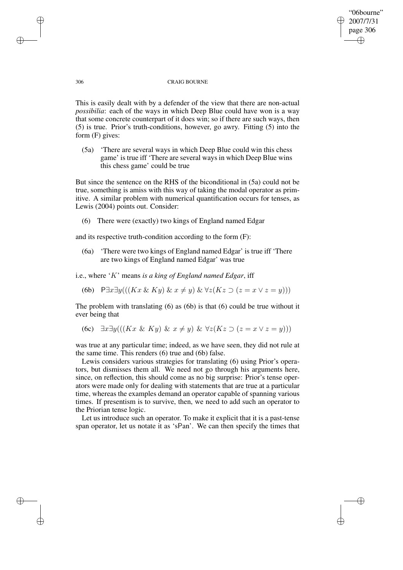## "06bourne" 2007/7/31 page 306 ✐ ✐

✐

✐

### 306 CRAIG BOURNE

This is easily dealt with by a defender of the view that there are non-actual *possibilia*: each of the ways in which Deep Blue could have won is a way that some concrete counterpart of it does win; so if there are such ways, then (5) is true. Prior's truth-conditions, however, go awry. Fitting (5) into the form (F) gives:

(5a) 'There are several ways in which Deep Blue could win this chess game' is true iff 'There are several ways in which Deep Blue wins this chess game' could be true

But since the sentence on the RHS of the biconditional in (5a) could not be true, something is amiss with this way of taking the modal operator as primitive. A similar problem with numerical quantification occurs for tenses, as Lewis (2004) points out. Consider:

(6) There were (exactly) two kings of England named Edgar

and its respective truth-condition according to the form (F):

(6a) 'There were two kings of England named Edgar' is true iff 'There are two kings of England named Edgar' was true

i.e., where 'K' means *is a king of England named Edgar*, iff

(6b) P∃x∃y(( $(Kx \& Ky) \& x \neq y$ ) &  $\forall z(Kz \supset (z = x \vee z = y))$ )

The problem with translating  $(6)$  as  $(6b)$  is that  $(6)$  could be true without it ever being that

(6c) 
$$
\exists x \exists y (((Kx \& Ky) \& x \neq y) \& \forall z (Kz \supset (z = x \vee z = y)))
$$

was true at any particular time; indeed, as we have seen, they did not rule at the same time. This renders (6) true and (6b) false.

Lewis considers various strategies for translating (6) using Prior's operators, but dismisses them all. We need not go through his arguments here, since, on reflection, this should come as no big surprise: Prior's tense operators were made only for dealing with statements that are true at a particular time, whereas the examples demand an operator capable of spanning various times. If presentism is to survive, then, we need to add such an operator to the Priorian tense logic.

Let us introduce such an operator. To make it explicit that it is a past-tense span operator, let us notate it as 'sPan'. We can then specify the times that

✐

✐

✐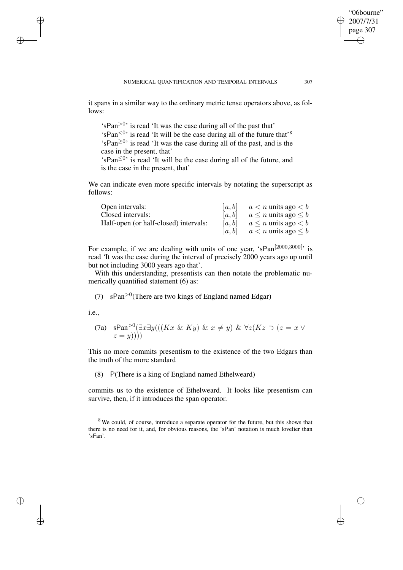it spans in a similar way to the ordinary metric tense operators above, as follows:

'sPan $>0$ ' is read 'It was the case during all of the past that' 'sPan<sup><0</sup>' is read 'It will be the case during all of the future that'<sup>8</sup>  $'sPan^{\geq 0}$  is read 'It was the case during all of the past, and is the case in the present, that'

 $\sin^2 9$  is read 'It will be the case during all of the future, and is the case in the present, that'

We can indicate even more specific intervals by notating the superscript as follows:

| Open intervals:                       | a, b   | $a < n$ units ago $b <$       |
|---------------------------------------|--------|-------------------------------|
| Closed intervals:                     | [a, b] | $a \leq n$ units ago $\leq b$ |
| Half-open (or half-closed) intervals: | [a, b] | $a \leq n$ units ago $\lt b$  |
|                                       | [a, b] | $a < n$ units ago $\leq b$    |

For example, if we are dealing with units of one year, 'sPan<sup>[2000,3000]</sup>' is read 'It was the case during the interval of precisely 2000 years ago up until but not including 3000 years ago that'.

With this understanding, presentists can then notate the problematic numerically quantified statement (6) as:

(7)  $sPan<sup>9</sup>$ (There are two kings of England named Edgar)

i.e.,

✐

✐

✐

✐

(7a) 
$$
s\mathrm{Pan}^{>0}(\exists x \exists y (((Kx \& Ky) \& x \neq y) \& \forall z (Kz \supset (z = x \vee z = y))))
$$

This no more commits presentism to the existence of the two Edgars than the truth of the more standard

(8) P(There is a king of England named Ethelweard)

commits us to the existence of Ethelweard. It looks like presentism can survive, then, if it introduces the span operator.

"06bourne" 2007/7/31 page 307

✐

✐

✐

<sup>&</sup>lt;sup>8</sup> We could, of course, introduce a separate operator for the future, but this shows that there is no need for it, and, for obvious reasons, the 'sPan' notation is much lovelier than 'sFan'.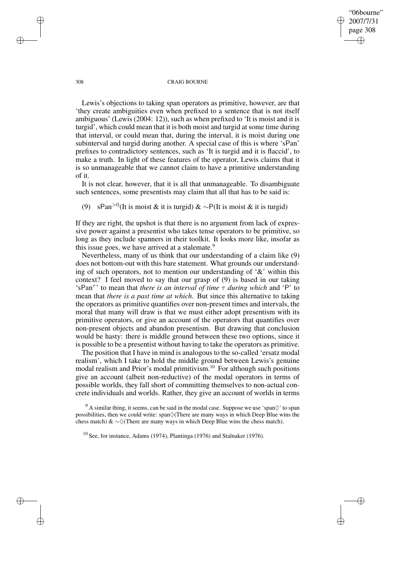"06bourne" 2007/7/31 page 308 ✐ ✐

✐

✐

#### 308 CRAIG BOURNE

Lewis's objections to taking span operators as primitive, however, are that 'they create ambiguities even when prefixed to a sentence that is not itself ambiguous' (Lewis (2004: 12)), such as when prefixed to 'It is moist and it is turgid', which could mean that it is both moist and turgid at some time during that interval, or could mean that, during the interval, it is moist during one subinterval and turgid during another. A special case of this is where 'sPan' prefixes to contradictory sentences, such as 'It is turgid and it is flaccid', to make a truth. In light of these features of the operator, Lewis claims that it is so unmanageable that we cannot claim to have a primitive understanding of it.

It is not clear, however, that it is all that unmanageable. To disambiguate such sentences, some presentists may claim that all that has to be said is:

(9) sPan<sup>>0</sup>(It is moist & it is turgid) & ∼P(It is moist & it is turgid)

If they are right, the upshot is that there is no argument from lack of expressive power against a presentist who takes tense operators to be primitive, so long as they include spanners in their toolkit. It looks more like, insofar as this issue goes, we have arrived at a stalemate.<sup>9</sup>

Nevertheless, many of us think that our understanding of a claim like (9) does not bottom-out with this bare statement. What grounds our understanding of such operators, not to mention our understanding of '&' within this context? I feel moved to say that our grasp of (9) is based in our taking 'sPan<sup>τ</sup> ' to mean that *there is an interval of time* τ *during which* and 'P' to mean that *there is a past time at which*. But since this alternative to taking the operators as primitive quantifies over non-present times and intervals, the moral that many will draw is that we must either adopt presentism with its primitive operators, or give an account of the operators that quantifies over non-present objects and abandon presentism. But drawing that conclusion would be hasty: there is middle ground between these two options, since it is possible to be a presentist without having to take the operators as primitive.

The position that I have in mind is analogous to the so-called 'ersatz modal realism', which I take to hold the middle ground between Lewis's genuine modal realism and Prior's modal primitivism.<sup>10</sup> For although such positions give an account (albeit non-reductive) of the modal operators in terms of possible worlds, they fall short of committing themselves to non-actual concrete individuals and worlds. Rather, they give an account of worlds in terms

✐

✐

✐

 $9^9$  A similar thing, it seems, can be said in the modal case. Suppose we use 'span $\Diamond$ ' to span possibilities, then we could write:  $\text{span}\left(\sqrt{\text{There}}\right)$  are many ways in which Deep Blue wins the chess match) & ∼ $\Diamond$ (There are many ways in which Deep Blue wins the chess match).

<sup>10</sup> See, for instance, Adams (1974), Plantinga (1976) and Stalnaker (1976).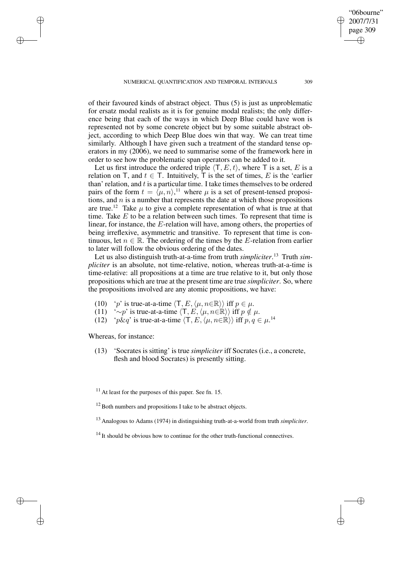of their favoured kinds of abstract object. Thus (5) is just as unproblematic for ersatz modal realists as it is for genuine modal realists; the only difference being that each of the ways in which Deep Blue could have won is represented not by some concrete object but by some suitable abstract object, according to which Deep Blue does win that way. We can treat time similarly. Although I have given such a treatment of the standard tense operators in my (2006), we need to summarise some of the framework here in order to see how the problematic span operators can be added to it.

Let us first introduce the ordered triple  $\langle T, E, t \rangle$ , where T is a set, E is a relation on T, and  $t \in T$ . Intuitively, T is the set of times, E is the 'earlier than' relation, and  $t$  is a particular time. I take times themselves to be ordered pairs of the form  $t = \langle \mu, n \rangle$ ,<sup>11</sup> where  $\mu$  is a set of present-tensed propositions, and  $n$  is a number that represents the date at which those propositions are true.<sup>12</sup> Take  $\mu$  to give a complete representation of what is true at that time. Take  $E$  to be a relation between such times. To represent that time is linear, for instance, the E-relation will have, among others, the properties of being irreflexive, asymmetric and transitive. To represent that time is continuous, let  $n \in \mathbb{R}$ . The ordering of the times by the E-relation from earlier to later will follow the obvious ordering of the dates.

Let us also distinguish truth-at-a-time from truth *simpliciter*. <sup>13</sup> Truth *simpliciter* is an absolute, not time-relative, notion, whereas truth-at-a-time is time-relative: all propositions at a time are true relative to it, but only those propositions which are true at the present time are true *simpliciter*. So, where the propositions involved are any atomic propositions, we have:

- (10) 'p' is true-at-a-time  $\langle T, E, \langle \mu, n \in \mathbb{R} \rangle$  iff  $p \in \mu$ .
- (11)  $\sim p'$  is true-at-a-time  $\langle T, E, \langle \mu, n \in \mathbb{R} \rangle$  iff  $p \notin \mu$ .
- (12) 'p $\& q$ ' is true-at-a-time  $\langle T, E, \langle \mu, n \in \mathbb{R} \rangle \rangle$  iff  $p, q \in \mu$ .<sup>14</sup>

Whereas, for instance:

✐

✐

✐

✐

(13) 'Socrates is sitting' is true *simpliciter* iff Socrates (i.e., a concrete, flesh and blood Socrates) is presently sitting.

 $11$  At least for the purposes of this paper. See fn. 15.

- <sup>13</sup> Analogous to Adams (1974) in distinguishing truth-at-a-world from truth *simpliciter*.
- $14$  It should be obvious how to continue for the other truth-functional connectives.

"06bourne" 2007/7/31 page 309

✐

✐

✐

 $12$  Both numbers and propositions I take to be abstract objects.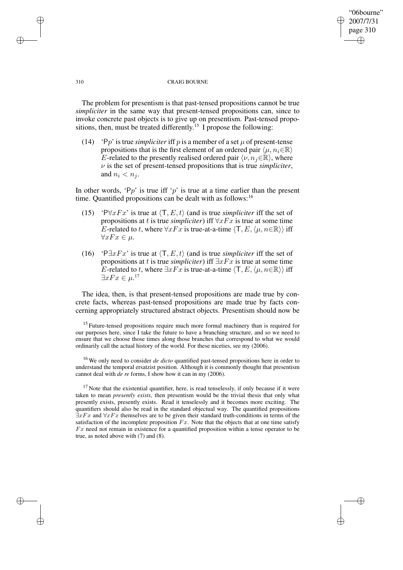#### 310 CRAIG BOURNE

"06bourne" 2007/7/31 page 310

✐

✐

✐

✐

The problem for presentism is that past-tensed propositions cannot be true *simpliciter* in the same way that present-tensed propositions can, since to invoke concrete past objects is to give up on presentism. Past-tensed propositions, then, must be treated differently.<sup>15</sup> I propose the following:

(14) 'Pp' is true *simpliciter* iff p is a member of a set  $\mu$  of present-tense propositions that is the first element of an ordered pair  $\langle \mu, n_i \in \mathbb{R} \rangle$ E-related to the presently realised ordered pair  $\langle \nu, n_j \in \mathbb{R} \rangle$ , where  $\nu$  is the set of present-tensed propositions that is true *simpliciter*, and  $n_i < n_j$ .

In other words, 'Pp' is true iff 'p' is true at a time earlier than the present time. Quantified propositions can be dealt with as follows:<sup>16</sup>

- (15) 'P $\forall x Fx$ ' is true at  $\langle T, E, t \rangle$  (and is true *simpliciter* iff the set of propositions at t is true *simpliciter*) iff  $\forall x Fx$  is true at some time E-related to t, where  $\forall xFx$  is true-at-a-time  $\langle T, E, \langle \mu, n \in \mathbb{R} \rangle \rangle$  iff  $\forall xFx\in\mu.$
- (16) 'P $\exists xFx'$  is true at  $\langle T, E, t \rangle$  (and is true *simpliciter* iff the set of propositions at t is true *simpliciter*) iff ∃xFx is true at some time E-related to t, where  $\exists xFx$  is true-at-a-time  $\langle T, E, \langle \mu, n \in \mathbb{R} \rangle \rangle$  iff  $\exists xFx\in\mu$ .<sup>17</sup>

The idea, then, is that present-tensed propositions are made true by concrete facts, whereas past-tensed propositions are made true by facts concerning appropriately structured abstract objects. Presentism should now be

✐

✐

✐

<sup>&</sup>lt;sup>15</sup> Future-tensed propositions require much more formal machinery than is required for our purposes here, since I take the future to have a branching structure, and so we need to ensure that we choose those times along those branches that correspond to what we would ordinarily call the actual history of the world. For these niceties, see my (2006).

<sup>16</sup> We only need to consider *de dicto* quantified past-tensed propositions here in order to understand the temporal ersatzist position. Although it is commonly thought that presentism cannot deal with *de re* forms, I show how it can in my (2006).

 $17$  Note that the existential quantifier, here, is read tenselessly, if only because if it were taken to mean *presently exists*, then presentism would be the trivial thesis that only what presently exists, presently exists. Read it tenselessly and it becomes more exciting. The quantifiers should also be read in the standard objectual way. The quantified propositions  $\exists xFx$  and  $\forall xFx$  themselves are to be given their standard truth-conditions in terms of the satisfaction of the incomplete proposition  $Fx$ . Note that the objects that at one time satisfy  $Fx$  need not remain in existence for a quantified proposition within a tense operator to be true, as noted above with (7) and (8).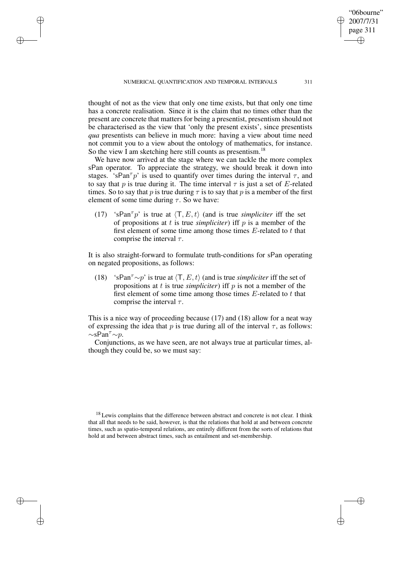✐

✐

✐

thought of not as the view that only one time exists, but that only one time has a concrete realisation. Since it is the claim that no times other than the present are concrete that matters for being a presentist, presentism should not be characterised as the view that 'only the present exists', since presentists *qua* presentists can believe in much more: having a view about time need not commit you to a view about the ontology of mathematics, for instance. So the view I am sketching here still counts as presentism.<sup>18</sup>

We have now arrived at the stage where we can tackle the more complex sPan operator. To appreciate the strategy, we should break it down into stages. 'sPan<sup> $\tau$ </sup> p' is used to quantify over times during the interval  $\tau$ , and to say that p is true during it. The time interval  $\tau$  is just a set of E-related times. So to say that p is true during  $\tau$  is to say that p is a member of the first element of some time during  $\tau$ . So we have:

(17) 'sPan<sup> $\tau$ </sup> p' is true at  $\langle T, E, t \rangle$  (and is true *simpliciter* iff the set of propositions at t is true *simpliciter*) iff  $p$  is a member of the first element of some time among those times  $E$ -related to  $t$  that comprise the interval  $\tau$ .

It is also straight-forward to formulate truth-conditions for sPan operating on negated propositions, as follows:

(18) 'sPan<sup> $\tau$ </sup>∼p' is true at  $\langle T, E, t \rangle$  (and is true *simpliciter* iff the set of propositions at  $t$  is true *simpliciter*) iff  $p$  is not a member of the first element of some time among those times  $E$ -related to  $t$  that comprise the interval  $\tau$ .

This is a nice way of proceeding because (17) and (18) allow for a neat way of expressing the idea that p is true during all of the interval  $\tau$ , as follows:  $\sim$ sPan<sup> $\tau$ </sup>∼p.

Conjunctions, as we have seen, are not always true at particular times, although they could be, so we must say:

 $18$  Lewis complains that the difference between abstract and concrete is not clear. I think that all that needs to be said, however, is that the relations that hold at and between concrete times, such as spatio-temporal relations, are entirely different from the sorts of relations that hold at and between abstract times, such as entailment and set-membership.

"06bourne" 2007/7/31 page 311

✐

✐

✐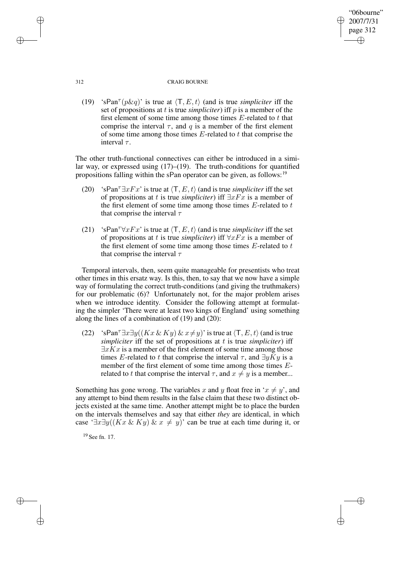#### 312 CRAIG BOURNE

"06bourne" 2007/7/31 page 312

✐

✐

✐

✐

(19) 'sPan<sup> $\tau$ </sup>( $p \& q$ )' is true at  $\langle T, E, t \rangle$  (and is true *simpliciter* iff the set of propositions at t is true *simpliciter*) iff p is a member of the first element of some time among those times  $E$ -related to  $t$  that comprise the interval  $\tau$ , and q is a member of the first element of some time among those times  $E$ -related to  $t$  that comprise the interval  $\tau$ .

The other truth-functional connectives can either be introduced in a similar way, or expressed using  $(17)$ – $(19)$ . The truth-conditions for quantified propositions falling within the sPan operator can be given, as follows:<sup>19</sup>

- (20) 'sPan<sup> $\tau \exists x Fx$ ' is true at  $\langle T, E, t \rangle$  (and is true *simpliciter* iff the set</sup> of propositions at t is true *simpliciter*) iff ∃xFx is a member of the first element of some time among those times  $E$ -related to  $t$ that comprise the interval  $\tau$
- (21) 'sPan<sup> $\tau \forall x Fx$ ' is true at  $\langle T, E, t \rangle$  (and is true *simpliciter* iff the set</sup> of propositions at t is true *simpliciter*) iff ∀xFx is a member of the first element of some time among those times  $E$ -related to  $t$ that comprise the interval  $\tau$

Temporal intervals, then, seem quite manageable for presentists who treat other times in this ersatz way. Is this, then, to say that we now have a simple way of formulating the correct truth-conditions (and giving the truthmakers) for our problematic (6)? Unfortunately not, for the major problem arises when we introduce identity. Consider the following attempt at formulating the simpler 'There were at least two kings of England' using something along the lines of a combination of (19) and (20):

(22) 'sPan<sup> $\tau \exists x \exists y ((Kx \& Ky) \& x \neq y)'$  is true at  $\langle T, E, t \rangle$  (and is true</sup> *simpliciter* iff the set of propositions at t is true *simpliciter*) iff  $\exists x Kx$  is a member of the first element of some time among those times E-related to t that comprise the interval  $\tau$ , and  $\exists y Ky$  is a member of the first element of some time among those times Erelated to t that comprise the interval  $\tau$ , and  $x \neq y$  is a member...

Something has gone wrong. The variables x and y float free in ' $x \neq y$ ', and any attempt to bind them results in the false claim that these two distinct objects existed at the same time. Another attempt might be to place the burden on the intervals themselves and say that either *they* are identical, in which case '∃x∃y((Kx & Ky) & x  $\neq$  y)' can be true at each time during it, or

<sup>19</sup> See fn. 17.

✐

✐

✐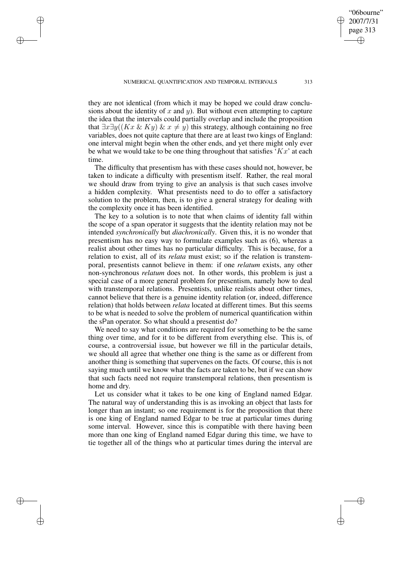✐

✐

✐

they are not identical (from which it may be hoped we could draw conclusions about the identity of  $x$  and  $y$ ). But without even attempting to capture the idea that the intervals could partially overlap and include the proposition that  $\exists x \exists y ((Kx \& Ky) \& x \neq y)$  this strategy, although containing no free variables, does not quite capture that there are at least two kings of England: one interval might begin when the other ends, and yet there might only ever be what we would take to be one thing throughout that satisfies ' $Kx$ ' at each time.

The difficulty that presentism has with these cases should not, however, be taken to indicate a difficulty with presentism itself. Rather, the real moral we should draw from trying to give an analysis is that such cases involve a hidden complexity. What presentists need to do to offer a satisfactory solution to the problem, then, is to give a general strategy for dealing with the complexity once it has been identified.

The key to a solution is to note that when claims of identity fall within the scope of a span operator it suggests that the identity relation may not be intended *synchronically* but *diachronically*. Given this, it is no wonder that presentism has no easy way to formulate examples such as (6), whereas a realist about other times has no particular difficulty. This is because, for a relation to exist, all of its *relata* must exist; so if the relation is transtemporal, presentists cannot believe in them: if one *relatum* exists, any other non-synchronous *relatum* does not. In other words, this problem is just a special case of a more general problem for presentism, namely how to deal with transtemporal relations. Presentists, unlike realists about other times, cannot believe that there is a genuine identity relation (or, indeed, difference relation) that holds between *relata* located at different times. But this seems to be what is needed to solve the problem of numerical quantification within the sPan operator. So what should a presentist do?

We need to say what conditions are required for something to be the same thing over time, and for it to be different from everything else. This is, of course, a controversial issue, but however we fill in the particular details, we should all agree that whether one thing is the same as or different from another thing is something that supervenes on the facts. Of course, this is not saying much until we know what the facts are taken to be, but if we can show that such facts need not require transtemporal relations, then presentism is home and dry.

Let us consider what it takes to be one king of England named Edgar. The natural way of understanding this is as invoking an object that lasts for longer than an instant; so one requirement is for the proposition that there is one king of England named Edgar to be true at particular times during some interval. However, since this is compatible with there having been more than one king of England named Edgar during this time, we have to tie together all of the things who at particular times during the interval are

"06bourne" 2007/7/31 page 313

✐

✐

✐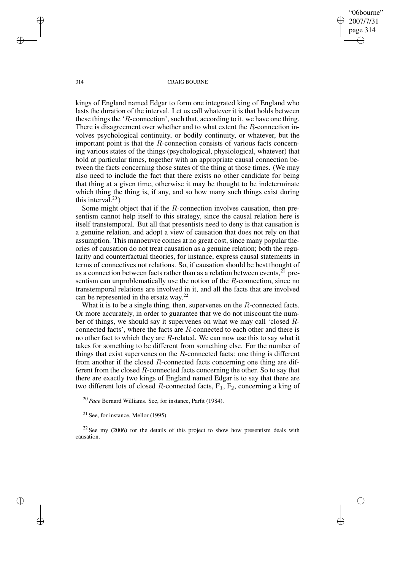"06bourne" 2007/7/31 page 314 ✐ ✐

✐

✐

#### 314 CRAIG BOURNE

kings of England named Edgar to form one integrated king of England who lasts the duration of the interval. Let us call whatever it is that holds between these things the ' $R$ -connection', such that, according to it, we have one thing. There is disagreement over whether and to what extent the R-connection involves psychological continuity, or bodily continuity, or whatever, but the important point is that the R-connection consists of various facts concerning various states of the things (psychological, physiological, whatever) that hold at particular times, together with an appropriate causal connection between the facts concerning those states of the thing at those times. (We may also need to include the fact that there exists no other candidate for being that thing at a given time, otherwise it may be thought to be indeterminate which thing the thing is, if any, and so how many such things exist during this interval. $20$ )

Some might object that if the  $R$ -connection involves causation, then presentism cannot help itself to this strategy, since the causal relation here is itself transtemporal. But all that presentists need to deny is that causation is a genuine relation, and adopt a view of causation that does not rely on that assumption. This manoeuvre comes at no great cost, since many popular theories of causation do not treat causation as a genuine relation; both the regularity and counterfactual theories, for instance, express causal statements in terms of connectives not relations. So, if causation should be best thought of as a connection between facts rather than as a relation between events,  $2^{1}$  presentism can unproblematically use the notion of the R-connection, since no transtemporal relations are involved in it, and all the facts that are involved can be represented in the ersatz way.<sup>22</sup>

What it is to be a single thing, then, supervenes on the R-connected facts. Or more accurately, in order to guarantee that we do not miscount the number of things, we should say it supervenes on what we may call 'closed Rconnected facts', where the facts are  $R$ -connected to each other and there is no other fact to which they are  $R$ -related. We can now use this to say what it takes for something to be different from something else. For the number of things that exist supervenes on the  $R$ -connected facts: one thing is different from another if the closed R-connected facts concerning one thing are different from the closed  $R$ -connected facts concerning the other. So to say that there are exactly two kings of England named Edgar is to say that there are two different lots of closed R-connected facts,  $F_1$ ,  $F_2$ , concerning a king of

<sup>20</sup> *Pace* Bernard Williams. See, for instance, Parfit (1984).

 $21$  See, for instance, Mellor (1995).

 $22$  See my (2006) for the details of this project to show how presentism deals with causation.

✐

✐

✐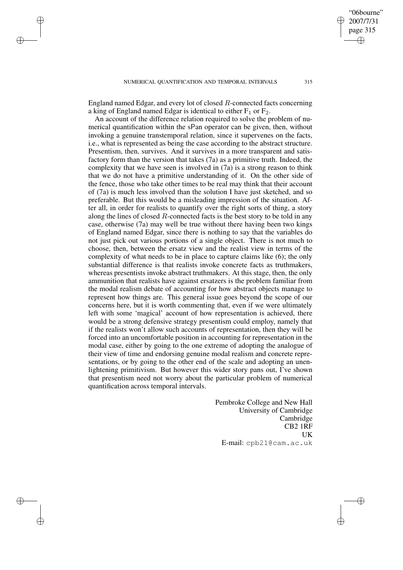✐

✐

✐

England named Edgar, and every lot of closed R-connected facts concerning a king of England named Edgar is identical to either  $F_1$  or  $F_2$ .

An account of the difference relation required to solve the problem of numerical quantification within the sPan operator can be given, then, without invoking a genuine transtemporal relation, since it supervenes on the facts, i.e., what is represented as being the case according to the abstract structure. Presentism, then, survives. And it survives in a more transparent and satisfactory form than the version that takes (7a) as a primitive truth. Indeed, the complexity that we have seen is involved in (7a) is a strong reason to think that we do not have a primitive understanding of it. On the other side of the fence, those who take other times to be real may think that their account of (7a) is much less involved than the solution I have just sketched, and so preferable. But this would be a misleading impression of the situation. After all, in order for realists to quantify over the right sorts of thing, a story along the lines of closed  $R$ -connected facts is the best story to be told in any case, otherwise (7a) may well be true without there having been two kings of England named Edgar, since there is nothing to say that the variables do not just pick out various portions of a single object. There is not much to choose, then, between the ersatz view and the realist view in terms of the complexity of what needs to be in place to capture claims like (6); the only substantial difference is that realists invoke concrete facts as truthmakers, whereas presentists invoke abstract truthmakers. At this stage, then, the only ammunition that realists have against ersatzers is the problem familiar from the modal realism debate of accounting for how abstract objects manage to represent how things are. This general issue goes beyond the scope of our concerns here, but it is worth commenting that, even if we were ultimately left with some 'magical' account of how representation is achieved, there would be a strong defensive strategy presentism could employ, namely that if the realists won't allow such accounts of representation, then they will be forced into an uncomfortable position in accounting for representation in the modal case, either by going to the one extreme of adopting the analogue of their view of time and endorsing genuine modal realism and concrete representations, or by going to the other end of the scale and adopting an unenlightening primitivism. But however this wider story pans out, I've shown that presentism need not worry about the particular problem of numerical quantification across temporal intervals.

> Pembroke College and New Hall University of Cambridge Cambridge CB2 1RF UK E-mail: cpb21@cam.ac.uk

"06bourne" 2007/7/31 page 315

✐

✐

✐